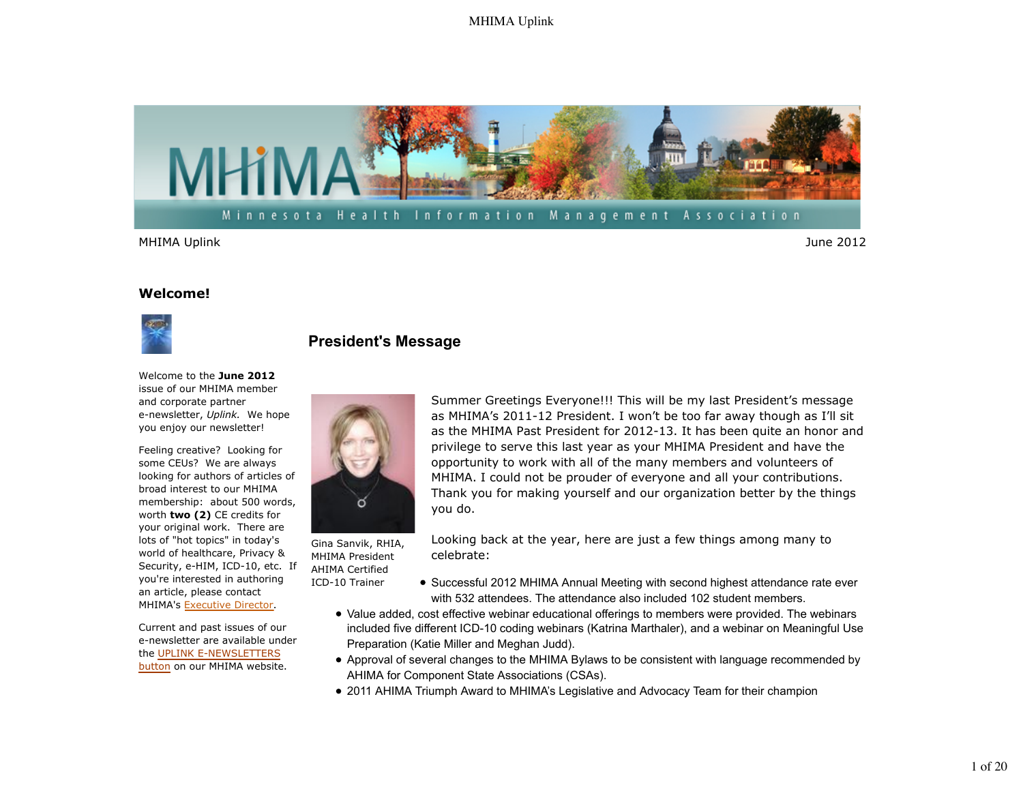

MHIMA Uplink June 2012

#### **Welcome!**



# **President's Message**

Welcome to the **June 2012** issue of our MHIMA member and corporate partner e-newsletter, *Uplink.* We hope you enjoy our newsletter!

Feeling creative? Looking for some CEUs? We are always looking for authors of articles of broad interest to our MHIMA membership: about 500 words, worth **two (2)** CE credits for your original work. There are lots of "hot topics" in today's world of healthcare, Privacy & Security, e-HIM, ICD-10, etc. If you're interested in authoring an article, please contact MHIMA's Executive Director.

Current and past issues of our e-newsletter are available under the UPLINK E-NEWSLETTERS button on our MHIMA website.



Gina Sanvik, RHIA, MHIMA President AHIMA Certified ICD-10 Trainer

Summer Greetings Everyone!!! This will be my last President's message as MHIMA's 2011-12 President. I won't be too far away though as I'll sit as the MHIMA Past President for 2012-13. It has been quite an honor and privilege to serve this last year as your MHIMA President and have the opportunity to work with all of the many members and volunteers of MHIMA. I could not be prouder of everyone and all your contributions. Thank you for making yourself and our organization better by the things you do.

Looking back at the year, here are just a few things among many to celebrate:

- Successful 2012 MHIMA Annual Meeting with second highest attendance rate ever with 532 attendees. The attendance also included 102 student members.
- Value added, cost effective webinar educational offerings to members were provided. The webinars included five different ICD-10 coding webinars (Katrina Marthaler), and a webinar on Meaningful Use Preparation (Katie Miller and Meghan Judd).
- Approval of several changes to the MHIMA Bylaws to be consistent with language recommended by AHIMA for Component State Associations (CSAs).
- 2011 AHIMA Triumph Award to MHIMA's Legislative and Advocacy Team for their champion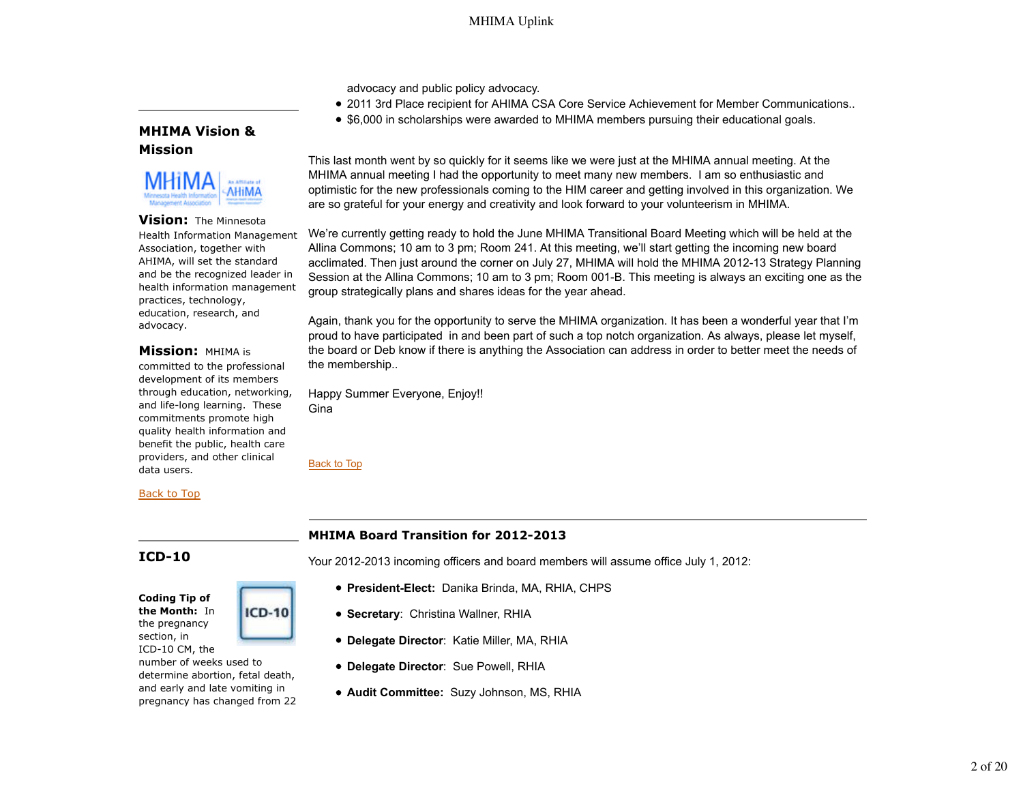advocacy and public policy advocacy.

- 2011 3rd Place recipient for AHIMA CSA Core Service Achievement for Member Communications..
- \$6,000 in scholarships were awarded to MHIMA members pursuing their educational goals.

## **MHIMA Vision & Mission**



**Vision:** The Minnesota Health Information Management Association, together with AHIMA, will set the standard and be the recognized leader in health information management practices, technology, education, research, and advocacy.

## **Mission:** MHIMA is

committed to the professional development of its members through education, networking, and life-long learning. These commitments promote high quality health information and benefit the public, health care providers, and other clinical data users.

### Back to Top

## **ICD-10**

**Coding Tip of the Month:** In the pregnancy section, in ICD-10 CM, the number of weeks used to determine abortion, fetal death,

and early and late vomiting in pregnancy has changed from 22

**ICD-10** 

This last month went by so quickly for it seems like we were just at the MHIMA annual meeting. At the MHIMA annual meeting I had the opportunity to meet many new members. I am so enthusiastic and optimistic for the new professionals coming to the HIM career and getting involved in this organization. We are so grateful for your energy and creativity and look forward to your volunteerism in MHIMA.

We're currently getting ready to hold the June MHIMA Transitional Board Meeting which will be held at the Allina Commons; 10 am to 3 pm; Room 241. At this meeting, we'll start getting the incoming new board acclimated. Then just around the corner on July 27, MHIMA will hold the MHIMA 2012-13 Strategy Planning Session at the Allina Commons; 10 am to 3 pm; Room 001-B. This meeting is always an exciting one as the group strategically plans and shares ideas for the year ahead.

Again, thank you for the opportunity to serve the MHIMA organization. It has been a wonderful year that I'm proud to have participated in and been part of such a top notch organization. As always, please let myself, the board or Deb know if there is anything the Association can address in order to better meet the needs of the membership..

Happy Summer Everyone, Enjoy!! Gina

Back to Top

## **MHIMA Board Transition for 2012-2013**

Your 2012-2013 incoming officers and board members will assume office July 1, 2012:

- **President-Elect:** Danika Brinda, MA, RHIA, CHPS
- **Secretary**: Christina Wallner, RHIA
- **Delegate Director**: Katie Miller, MA, RHIA
- **Delegate Director**: Sue Powell, RHIA
- **Audit Committee:** Suzy Johnson, MS, RHIA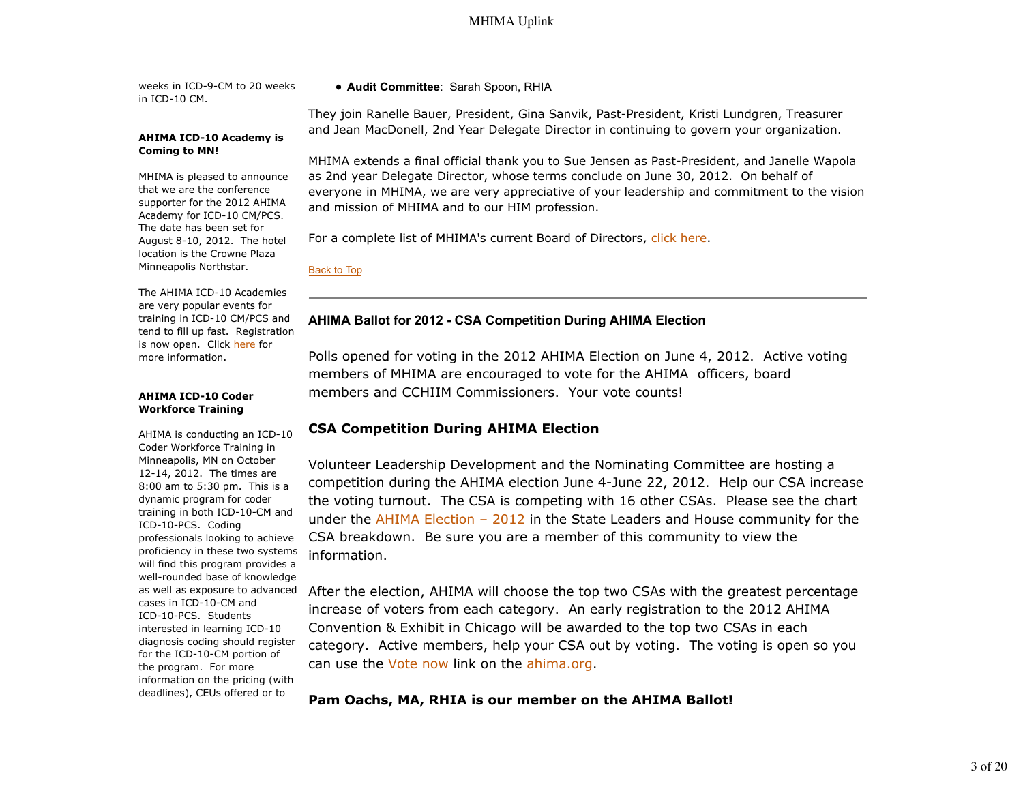weeks in ICD-9-CM to 20 weeks in ICD-10 CM.

#### **AHIMA ICD-10 Academy is Coming to MN!**

MHIMA is pleased to announce that we are the conference supporter for the 2012 AHIMA Academy for ICD-10 CM/PCS. The date has been set for August 8-10, 2012. The hotel location is the Crowne Plaza Minneapolis Northstar.

The AHIMA ICD-10 Academies are very popular events for training in ICD-10 CM/PCS and tend to fill up fast. Registration is now open. Click here for more information.

#### **AHIMA ICD-10 Coder Workforce Training**

AHIMA is conducting an ICD-10 Coder Workforce Training in Minneapolis, MN on October 12-14, 2012. The times are 8:00 am to 5:30 pm. This is a dynamic program for coder training in both ICD-10-CM and ICD-10-PCS. Coding professionals looking to achieve proficiency in these two systems will find this program provides a well-rounded base of knowledge as well as exposure to advanced cases in ICD-10-CM and ICD-10-PCS. Students interested in learning ICD-10 diagnosis coding should register for the ICD-10-CM portion of the program. For more information on the pricing (with deadlines), CEUs offered or to

## **Audit Committee**: Sarah Spoon, RHIA

They join Ranelle Bauer, President, Gina Sanvik, Past-President, Kristi Lundgren, Treasurer and Jean MacDonell, 2nd Year Delegate Director in continuing to govern your organization.

MHIMA extends a final official thank you to Sue Jensen as Past-President, and Janelle Wapola as 2nd year Delegate Director, whose terms conclude on June 30, 2012. On behalf of everyone in MHIMA, we are very appreciative of your leadership and commitment to the vision and mission of MHIMA and to our HIM profession.

For a complete list of MHIMA's current Board of Directors, click here.

## Back to Top

## **AHIMA Ballot for 2012 - CSA Competition During AHIMA Election**

Polls opened for voting in the 2012 AHIMA Election on June 4, 2012. Active voting members of MHIMA are encouraged to vote for the AHIMA officers, board members and CCHIIM Commissioners. Your vote counts!

## **CSA Competition During AHIMA Election**

Volunteer Leadership Development and the Nominating Committee are hosting a competition during the AHIMA election June 4-June 22, 2012. Help our CSA increase the voting turnout. The CSA is competing with 16 other CSAs. Please see the chart under the AHIMA Election – 2012 in the State Leaders and House community for the CSA breakdown. Be sure you are a member of this community to view the information.

After the election, AHIMA will choose the top two CSAs with the greatest percentage increase of voters from each category. An early registration to the 2012 AHIMA Convention & Exhibit in Chicago will be awarded to the top two CSAs in each category. Active members, help your CSA out by voting. The voting is open so you can use the Vote now link on the ahima.org.

## **Pam Oachs, MA, RHIA is our member on the AHIMA Ballot!**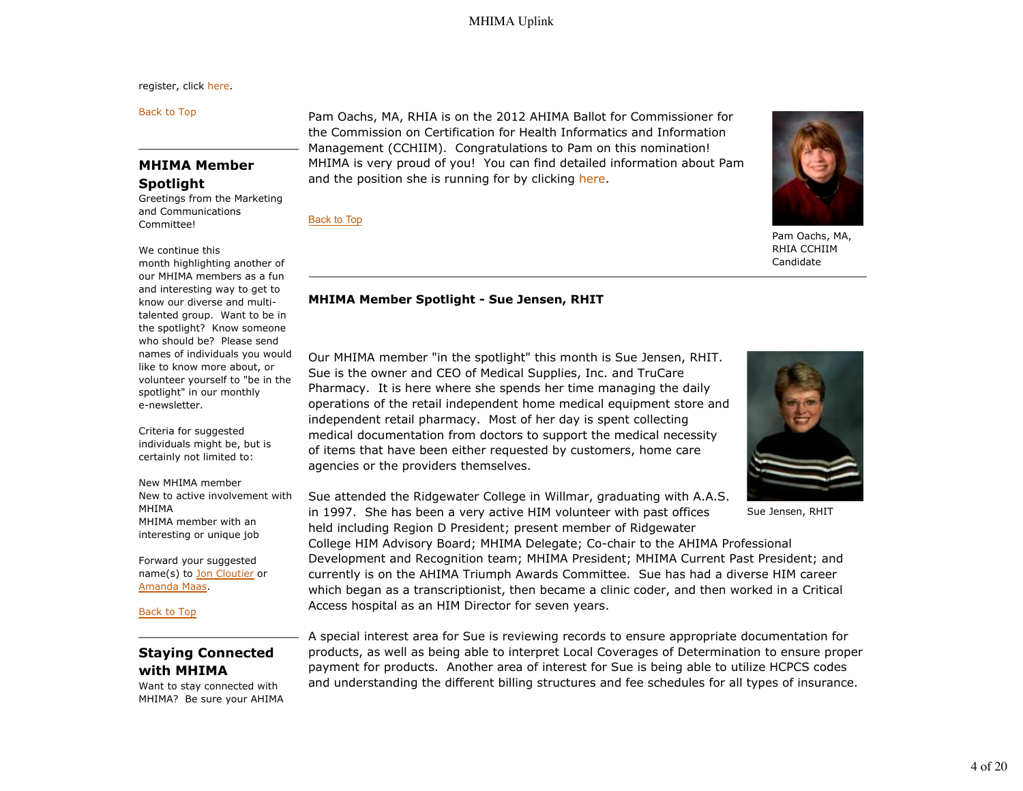register, click here.

Back to Top

## **MHIMA Member Spotlight**

Greetings from the Marketing and Communications Committee!

#### We continue this

month highlighting another of our MHIMA members as a fun and interesting way to get to know our diverse and multitalented group. Want to be in the spotlight? Know someone who should be? Please send names of individuals you would like to know more about, or volunteer yourself to "be in the spotlight" in our monthly e-newsletter.

Criteria for suggested individuals might be, but is certainly not limited to:

New MHIMA member New to active involvement with MHIMA MHIMA member with an interesting or unique job

Forward your suggested name(s) to Jon Cloutier or Amanda Maas.

Back to Top

## **Staying Connected with MHIMA**

Want to stay connected with MHIMA? Be sure your AHIMA Pam Oachs, MA, RHIA is on the 2012 AHIMA Ballot for Commissioner for the Commission on Certification for Health Informatics and Information Management (CCHIIM). Congratulations to Pam on this nomination! MHIMA is very proud of you! You can find detailed information about Pam and the position she is running for by clicking here.

Back to Top



Pam Oachs, MA, RHIA CCHIIM Candidate

#### **MHIMA Member Spotlight - Sue Jensen, RHIT**

Our MHIMA member "in the spotlight" this month is Sue Jensen, RHIT. Sue is the owner and CEO of Medical Supplies, Inc. and TruCare Pharmacy. It is here where she spends her time managing the daily operations of the retail independent home medical equipment store and independent retail pharmacy. Most of her day is spent collecting medical documentation from doctors to support the medical necessity of items that have been either requested by customers, home care agencies or the providers themselves.



Sue Jensen, RHIT

Sue attended the Ridgewater College in Willmar, graduating with A.A.S. in 1997. She has been a very active HIM volunteer with past offices held including Region D President; present member of Ridgewater

College HIM Advisory Board; MHIMA Delegate; Co-chair to the AHIMA Professional Development and Recognition team; MHIMA President; MHIMA Current Past President; and currently is on the AHIMA Triumph Awards Committee. Sue has had a diverse HIM career which began as a transcriptionist, then became a clinic coder, and then worked in a Critical Access hospital as an HIM Director for seven years.

A special interest area for Sue is reviewing records to ensure appropriate documentation for products, as well as being able to interpret Local Coverages of Determination to ensure proper payment for products. Another area of interest for Sue is being able to utilize HCPCS codes and understanding the different billing structures and fee schedules for all types of insurance.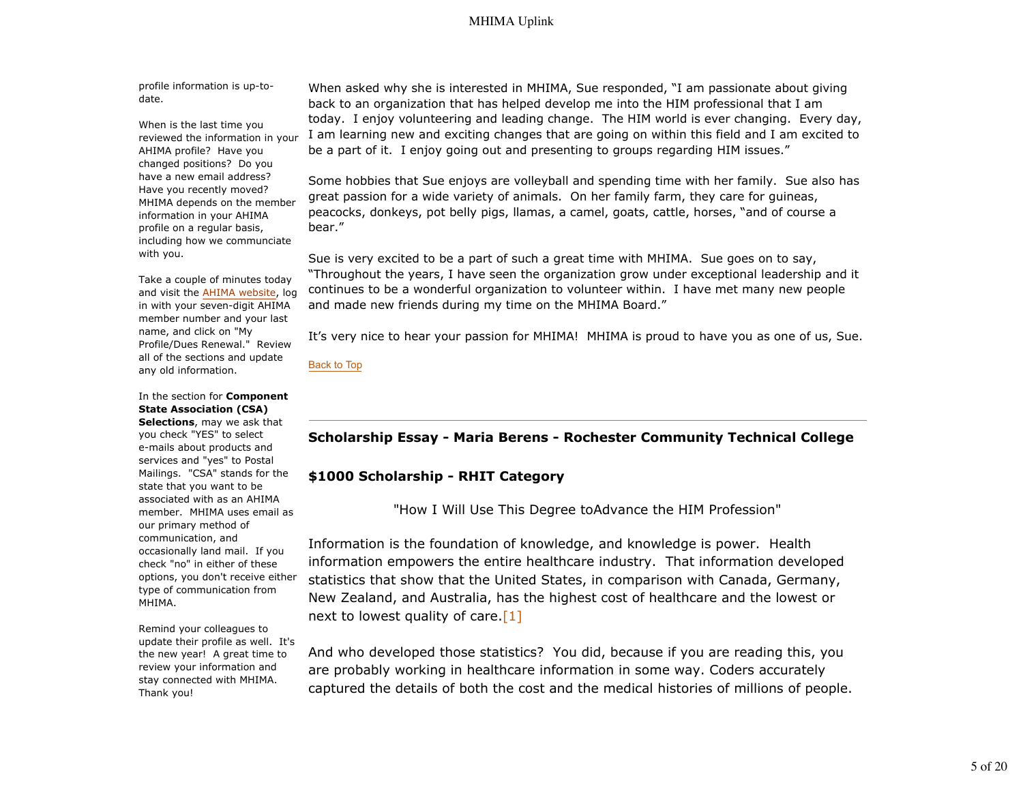profile information is up-todate.

When is the last time you reviewed the information in your AHIMA profile? Have you changed positions? Do you have a new email address? Have you recently moved? MHIMA depends on the member information in your AHIMA profile on a regular basis, including how we communciate with you.

Take a couple of minutes today and visit the AHIMA website, log in with your seven-digit AHIMA member number and your last name, and click on "My Profile/Dues Renewal." Review all of the sections and update any old information.

In the section for **Component State Association (CSA) Selections**, may we ask that

you check "YES" to select e-mails about products and services and "yes" to Postal Mailings. "CSA" stands for the state that you want to be associated with as an AHIMA member. MHIMA uses email as our primary method of communication, and occasionally land mail. If you check "no" in either of these options, you don't receive either type of communication from MHIMA.

Remind your colleagues to update their profile as well. It's the new year! A great time to review your information and stay connected with MHIMA. Thank you!

When asked why she is interested in MHIMA, Sue responded, "I am passionate about giving back to an organization that has helped develop me into the HIM professional that I am today. I enjoy volunteering and leading change. The HIM world is ever changing. Every day, I am learning new and exciting changes that are going on within this field and I am excited to be a part of it. I enjoy going out and presenting to groups regarding HIM issues."

Some hobbies that Sue enjoys are volleyball and spending time with her family. Sue also has great passion for a wide variety of animals. On her family farm, they care for guineas, peacocks, donkeys, pot belly pigs, llamas, a camel, goats, cattle, horses, "and of course a bear."

Sue is very excited to be a part of such a great time with MHIMA. Sue goes on to say, "Throughout the years, I have seen the organization grow under exceptional leadership and it continues to be a wonderful organization to volunteer within. I have met many new people and made new friends during my time on the MHIMA Board."

It's very nice to hear your passion for MHIMA! MHIMA is proud to have you as one of us, Sue.

Back to Top

## **Scholarship Essay - Maria Berens - Rochester Community Technical College**

### **\$1000 Scholarship - RHIT Category**

"How I Will Use This Degree toAdvance the HIM Profession"

Information is the foundation of knowledge, and knowledge is power. Health information empowers the entire healthcare industry. That information developed statistics that show that the United States, in comparison with Canada, Germany, New Zealand, and Australia, has the highest cost of healthcare and the lowest or next to lowest quality of care.  $[1]$ 

And who developed those statistics? You did, because if you are reading this, you are probably working in healthcare information in some way. Coders accurately captured the details of both the cost and the medical histories of millions of people.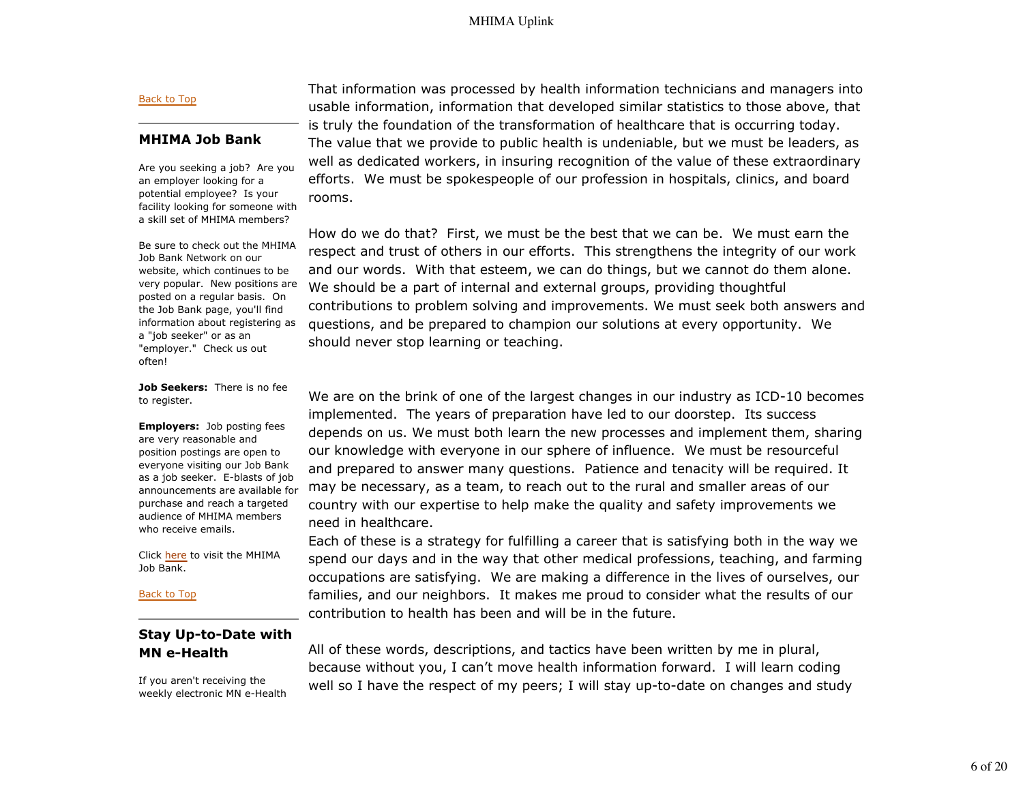#### Back to Top

## **MHIMA Job Bank**

Are you seeking a job? Are you an employer looking for a potential employee? Is your facility looking for someone with a skill set of MHIMA members?

Be sure to check out the MHIMA Job Bank Network on our website, which continues to be very popular. New positions are posted on a regular basis. On the Job Bank page, you'll find information about registering as a "job seeker" or as an "employer." Check us out often!

**Job Seekers:** There is no fee to register.

**Employers:** Job posting fees are very reasonable and position postings are open to everyone visiting our Job Bank as a job seeker. E-blasts of job announcements are available for purchase and reach a targeted audience of MHIMA members who receive emails.

Click here to visit the MHIMA Job Bank.

Back to Top

## **Stay Up-to-Date with MN e-Health**

If you aren't receiving the weekly electronic MN e-Health That information was processed by health information technicians and managers into usable information, information that developed similar statistics to those above, that is truly the foundation of the transformation of healthcare that is occurring today. The value that we provide to public health is undeniable, but we must be leaders, as well as dedicated workers, in insuring recognition of the value of these extraordinary efforts. We must be spokespeople of our profession in hospitals, clinics, and board rooms.

How do we do that? First, we must be the best that we can be. We must earn the respect and trust of others in our efforts. This strengthens the integrity of our work and our words. With that esteem, we can do things, but we cannot do them alone. We should be a part of internal and external groups, providing thoughtful contributions to problem solving and improvements. We must seek both answers and questions, and be prepared to champion our solutions at every opportunity. We should never stop learning or teaching.

We are on the brink of one of the largest changes in our industry as ICD-10 becomes implemented. The years of preparation have led to our doorstep. Its success depends on us. We must both learn the new processes and implement them, sharing our knowledge with everyone in our sphere of influence. We must be resourceful and prepared to answer many questions. Patience and tenacity will be required. It may be necessary, as a team, to reach out to the rural and smaller areas of our country with our expertise to help make the quality and safety improvements we need in healthcare.

Each of these is a strategy for fulfilling a career that is satisfying both in the way we spend our days and in the way that other medical professions, teaching, and farming occupations are satisfying. We are making a difference in the lives of ourselves, our families, and our neighbors. It makes me proud to consider what the results of our contribution to health has been and will be in the future.

All of these words, descriptions, and tactics have been written by me in plural, because without you, I can't move health information forward. I will learn coding well so I have the respect of my peers; I will stay up-to-date on changes and study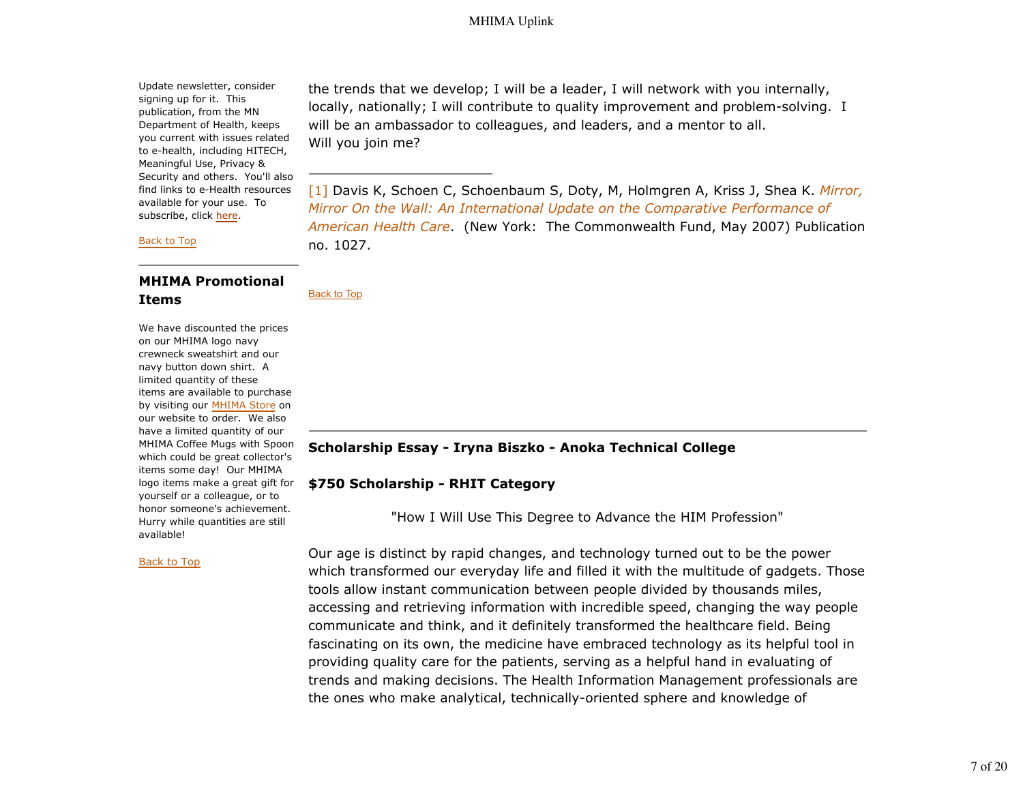Update newsletter, consider signing up for it. This publication, from the MN Department of Health, keeps you current with issues related to e-health, including HITECH, Meaningful Use, Privacy & Security and others. You'll also find links to e-Health resources available for your use. To subscribe, click here.

Back to Top

## **MHIMA Promotional Items**

We have discounted the prices on our MHIMA logo navy crewneck sweatshirt and our navy button down shirt. A limited quantity of these items are available to purchase by visiting our MHIMA Store on our website to order. We also have a limited quantity of our MHIMA Coffee Mugs with Spoon which could be great collector's items some day! Our MHIMA logo items make a great gift for yourself or a colleague, or to honor someone's achievement. Hurry while quantities are still available!

#### Back to Top

the trends that we develop; I will be a leader, I will network with you internally, locally, nationally; I will contribute to quality improvement and problem-solving. I will be an ambassador to colleagues, and leaders, and a mentor to all. Will you join me?

[1] Davis K, Schoen C, Schoenbaum S, Doty, M, Holmgren A, Kriss J, Shea K. *Mirror, Mirror On the Wall: An International Update on the Comparative Performance of American Health Care*. (New York: The Commonwealth Fund, May 2007) Publication no. 1027.

Back to Top

## **Scholarship Essay - Iryna Biszko - Anoka Technical College**

### **\$750 Scholarship - RHIT Category**

"How I Will Use This Degree to Advance the HIM Profession"

Our age is distinct by rapid changes, and technology turned out to be the power which transformed our everyday life and filled it with the multitude of gadgets. Those tools allow instant communication between people divided by thousands miles, accessing and retrieving information with incredible speed, changing the way people communicate and think, and it definitely transformed the healthcare field. Being fascinating on its own, the medicine have embraced technology as its helpful tool in providing quality care for the patients, serving as a helpful hand in evaluating of trends and making decisions. The Health Information Management professionals are the ones who make analytical, technically-oriented sphere and knowledge of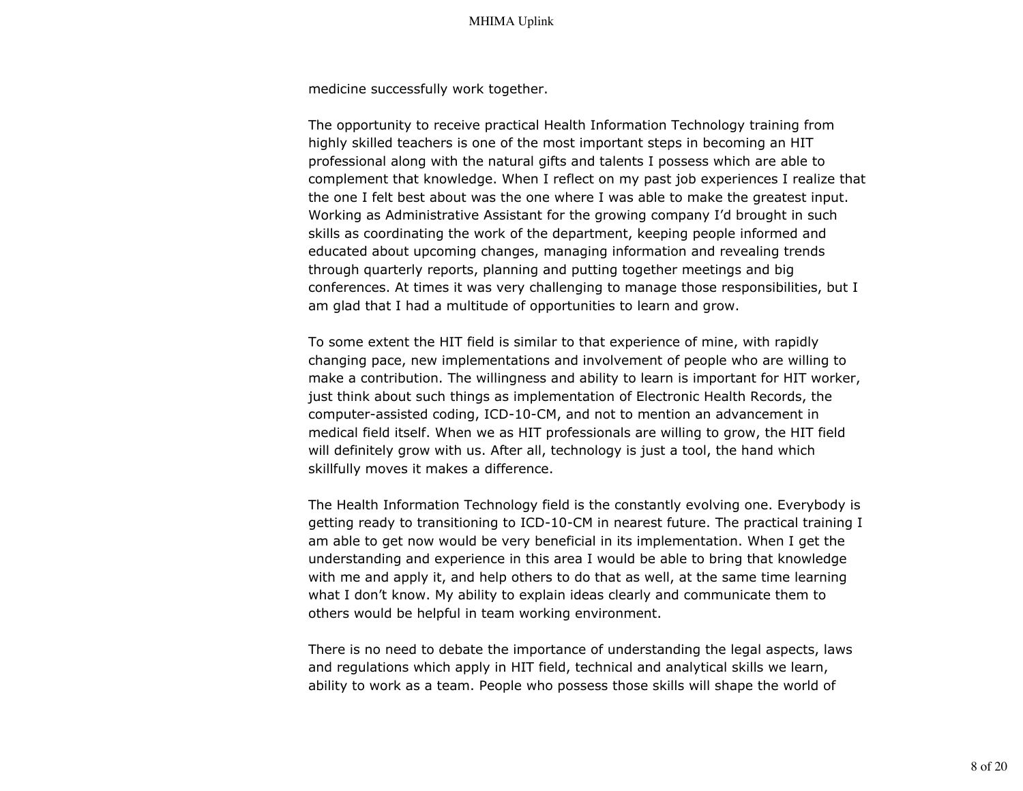medicine successfully work together.

The opportunity to receive practical Health Information Technology training from highly skilled teachers is one of the most important steps in becoming an HIT professional along with the natural gifts and talents I possess which are able to complement that knowledge. When I reflect on my past job experiences I realize that the one I felt best about was the one where I was able to make the greatest input. Working as Administrative Assistant for the growing company I'd brought in such skills as coordinating the work of the department, keeping people informed and educated about upcoming changes, managing information and revealing trends through quarterly reports, planning and putting together meetings and big conferences. At times it was very challenging to manage those responsibilities, but I am glad that I had a multitude of opportunities to learn and grow.

To some extent the HIT field is similar to that experience of mine, with rapidly changing pace, new implementations and involvement of people who are willing to make a contribution. The willingness and ability to learn is important for HIT worker, just think about such things as implementation of Electronic Health Records, the computer-assisted coding, ICD-10-CM, and not to mention an advancement in medical field itself. When we as HIT professionals are willing to grow, the HIT field will definitely grow with us. After all, technology is just a tool, the hand which skillfully moves it makes a difference.

The Health Information Technology field is the constantly evolving one. Everybody is getting ready to transitioning to ICD-10-CM in nearest future. The practical training I am able to get now would be very beneficial in its implementation. When I get the understanding and experience in this area I would be able to bring that knowledge with me and apply it, and help others to do that as well, at the same time learning what I don't know. My ability to explain ideas clearly and communicate them to others would be helpful in team working environment.

There is no need to debate the importance of understanding the legal aspects, laws and regulations which apply in HIT field, technical and analytical skills we learn, ability to work as a team. People who possess those skills will shape the world of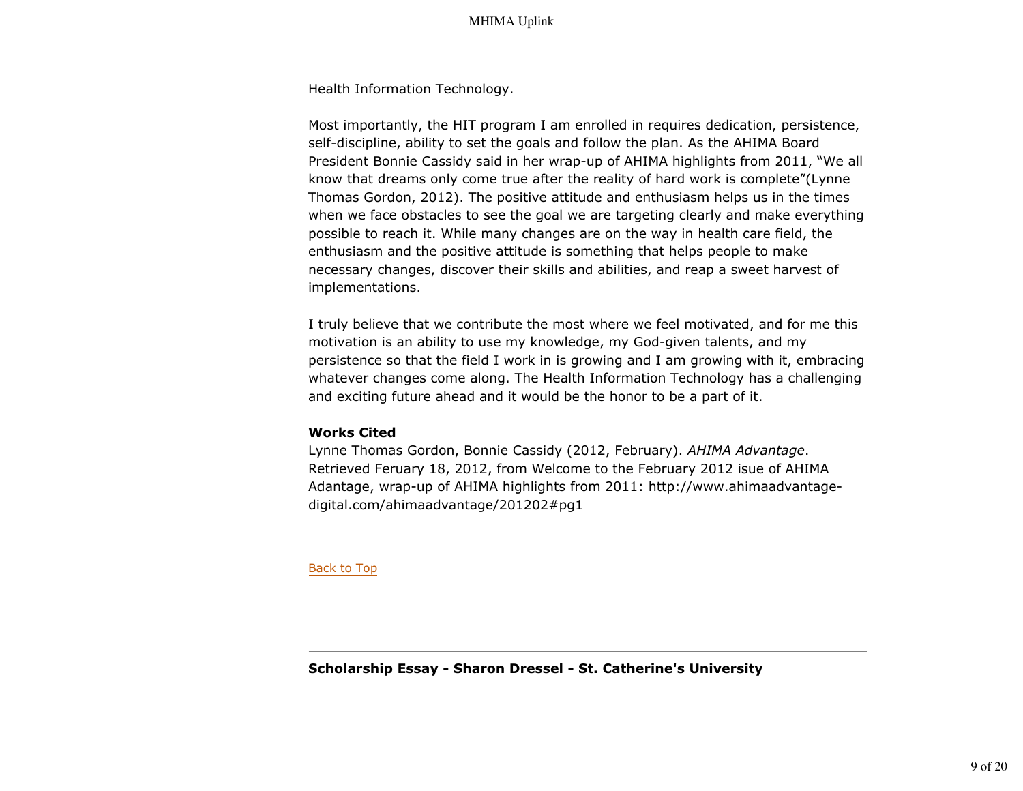Health Information Technology.

Most importantly, the HIT program I am enrolled in requires dedication, persistence, self-discipline, ability to set the goals and follow the plan. As the AHIMA Board President Bonnie Cassidy said in her wrap-up of AHIMA highlights from 2011, "We all know that dreams only come true after the reality of hard work is complete"(Lynne Thomas Gordon, 2012). The positive attitude and enthusiasm helps us in the times when we face obstacles to see the goal we are targeting clearly and make everything possible to reach it. While many changes are on the way in health care field, the enthusiasm and the positive attitude is something that helps people to make necessary changes, discover their skills and abilities, and reap a sweet harvest of implementations.

I truly believe that we contribute the most where we feel motivated, and for me this motivation is an ability to use my knowledge, my God-given talents, and my persistence so that the field I work in is growing and I am growing with it, embracing whatever changes come along. The Health Information Technology has a challenging and exciting future ahead and it would be the honor to be a part of it.

## **Works Cited**

Lynne Thomas Gordon, Bonnie Cassidy (2012, February). *AHIMA Advantage*. Retrieved Feruary 18, 2012, from Welcome to the February 2012 isue of AHIMA Adantage, wrap-up of AHIMA highlights from 2011: http://www.ahimaadvantagedigital.com/ahimaadvantage/201202#pg1

Back to Top

**Scholarship Essay - Sharon Dressel - St. Catherine's University**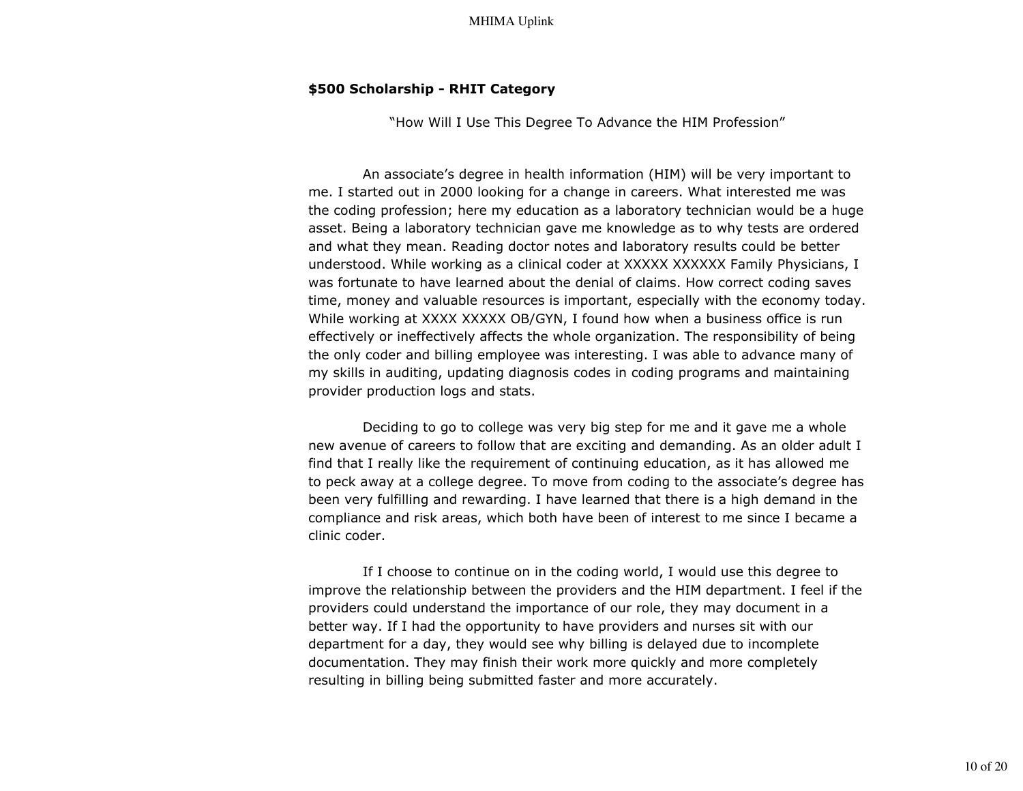## **\$500 Scholarship - RHIT Category**

"How Will I Use This Degree To Advance the HIM Profession"

 An associate's degree in health information (HIM) will be very important to me. I started out in 2000 looking for a change in careers. What interested me was the coding profession; here my education as a laboratory technician would be a huge asset. Being a laboratory technician gave me knowledge as to why tests are ordered and what they mean. Reading doctor notes and laboratory results could be better understood. While working as a clinical coder at XXXXX XXXXXX Family Physicians, I was fortunate to have learned about the denial of claims. How correct coding saves time, money and valuable resources is important, especially with the economy today. While working at XXXX XXXXX OB/GYN, I found how when a business office is run effectively or ineffectively affects the whole organization. The responsibility of being the only coder and billing employee was interesting. I was able to advance many of my skills in auditing, updating diagnosis codes in coding programs and maintaining provider production logs and stats.

 Deciding to go to college was very big step for me and it gave me a whole new avenue of careers to follow that are exciting and demanding. As an older adult I find that I really like the requirement of continuing education, as it has allowed me to peck away at a college degree. To move from coding to the associate's degree has been very fulfilling and rewarding. I have learned that there is a high demand in the compliance and risk areas, which both have been of interest to me since I became a clinic coder.

 If I choose to continue on in the coding world, I would use this degree to improve the relationship between the providers and the HIM department. I feel if the providers could understand the importance of our role, they may document in a better way. If I had the opportunity to have providers and nurses sit with our department for a day, they would see why billing is delayed due to incomplete documentation. They may finish their work more quickly and more completely resulting in billing being submitted faster and more accurately.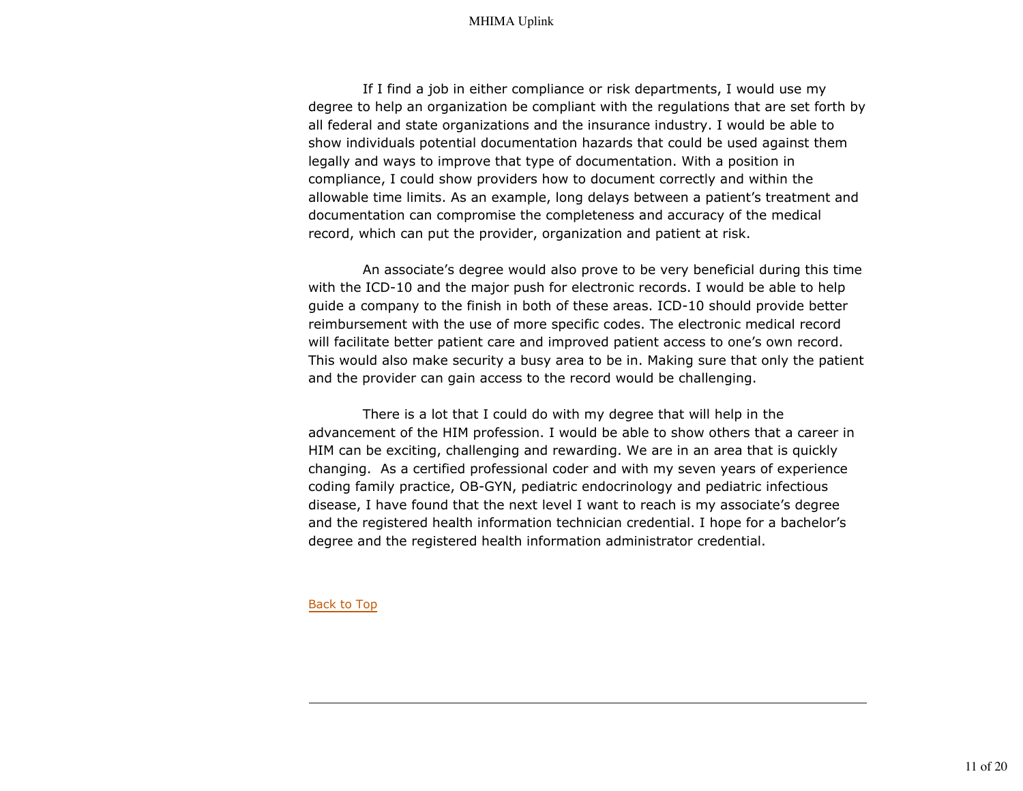If I find a job in either compliance or risk departments, I would use my degree to help an organization be compliant with the regulations that are set forth by all federal and state organizations and the insurance industry. I would be able to show individuals potential documentation hazards that could be used against them legally and ways to improve that type of documentation. With a position in compliance, I could show providers how to document correctly and within the allowable time limits. As an example, long delays between a patient's treatment and documentation can compromise the completeness and accuracy of the medical record, which can put the provider, organization and patient at risk.

 An associate's degree would also prove to be very beneficial during this time with the ICD-10 and the major push for electronic records. I would be able to help guide a company to the finish in both of these areas. ICD-10 should provide better reimbursement with the use of more specific codes. The electronic medical record will facilitate better patient care and improved patient access to one's own record. This would also make security a busy area to be in. Making sure that only the patient and the provider can gain access to the record would be challenging.

 There is a lot that I could do with my degree that will help in the advancement of the HIM profession. I would be able to show others that a career in HIM can be exciting, challenging and rewarding. We are in an area that is quickly changing. As a certified professional coder and with my seven years of experience coding family practice, OB-GYN, pediatric endocrinology and pediatric infectious disease, I have found that the next level I want to reach is my associate's degree and the registered health information technician credential. I hope for a bachelor's degree and the registered health information administrator credential.

#### Back to Top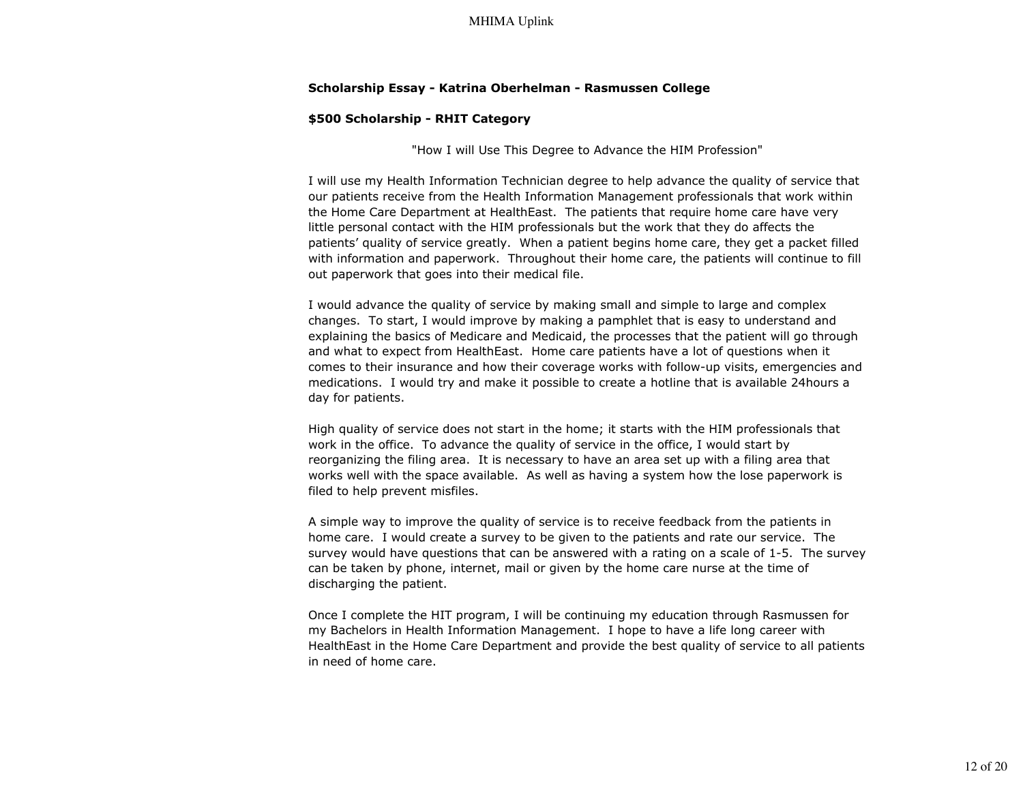#### **Scholarship Essay - Katrina Oberhelman - Rasmussen College**

### **\$500 Scholarship - RHIT Category**

"How I will Use This Degree to Advance the HIM Profession"

I will use my Health Information Technician degree to help advance the quality of service that our patients receive from the Health Information Management professionals that work within the Home Care Department at HealthEast. The patients that require home care have very little personal contact with the HIM professionals but the work that they do affects the patients' quality of service greatly. When a patient begins home care, they get a packet filled with information and paperwork. Throughout their home care, the patients will continue to fill out paperwork that goes into their medical file.

I would advance the quality of service by making small and simple to large and complex changes. To start, I would improve by making a pamphlet that is easy to understand and explaining the basics of Medicare and Medicaid, the processes that the patient will go through and what to expect from HealthEast. Home care patients have a lot of questions when it comes to their insurance and how their coverage works with follow-up visits, emergencies and medications. I would try and make it possible to create a hotline that is available 24hours a day for patients.

High quality of service does not start in the home; it starts with the HIM professionals that work in the office. To advance the quality of service in the office, I would start by reorganizing the filing area. It is necessary to have an area set up with a filing area that works well with the space available. As well as having a system how the lose paperwork is filed to help prevent misfiles.

A simple way to improve the quality of service is to receive feedback from the patients in home care. I would create a survey to be given to the patients and rate our service. The survey would have questions that can be answered with a rating on a scale of 1-5. The survey can be taken by phone, internet, mail or given by the home care nurse at the time of discharging the patient.

Once I complete the HIT program, I will be continuing my education through Rasmussen for my Bachelors in Health Information Management. I hope to have a life long career with HealthEast in the Home Care Department and provide the best quality of service to all patients in need of home care.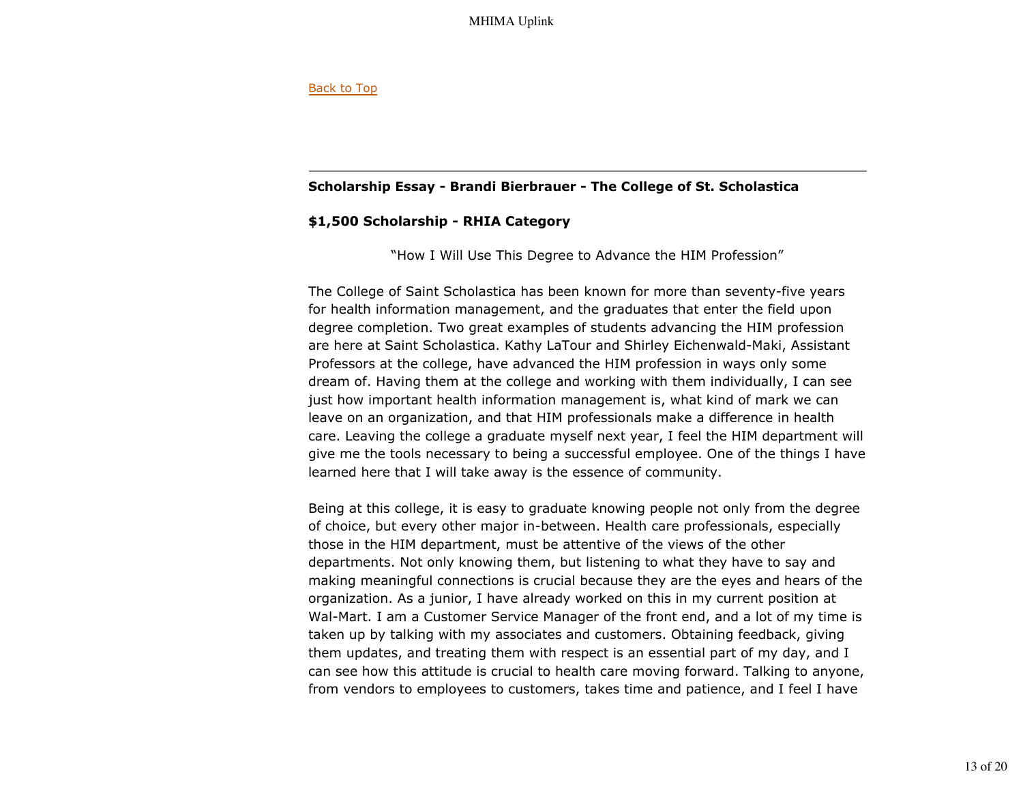### Back to Top

## **Scholarship Essay - Brandi Bierbrauer - The College of St. Scholastica**

## **\$1,500 Scholarship - RHIA Category**

"How I Will Use This Degree to Advance the HIM Profession"

The College of Saint Scholastica has been known for more than seventy-five years for health information management, and the graduates that enter the field upon degree completion. Two great examples of students advancing the HIM profession are here at Saint Scholastica. Kathy LaTour and Shirley Eichenwald-Maki, Assistant Professors at the college, have advanced the HIM profession in ways only some dream of. Having them at the college and working with them individually, I can see just how important health information management is, what kind of mark we can leave on an organization, and that HIM professionals make a difference in health care. Leaving the college a graduate myself next year, I feel the HIM department will give me the tools necessary to being a successful employee. One of the things I have learned here that I will take away is the essence of community.

Being at this college, it is easy to graduate knowing people not only from the degree of choice, but every other major in-between. Health care professionals, especially those in the HIM department, must be attentive of the views of the other departments. Not only knowing them, but listening to what they have to say and making meaningful connections is crucial because they are the eyes and hears of the organization. As a junior, I have already worked on this in my current position at Wal-Mart. I am a Customer Service Manager of the front end, and a lot of my time is taken up by talking with my associates and customers. Obtaining feedback, giving them updates, and treating them with respect is an essential part of my day, and I can see how this attitude is crucial to health care moving forward. Talking to anyone, from vendors to employees to customers, takes time and patience, and I feel I have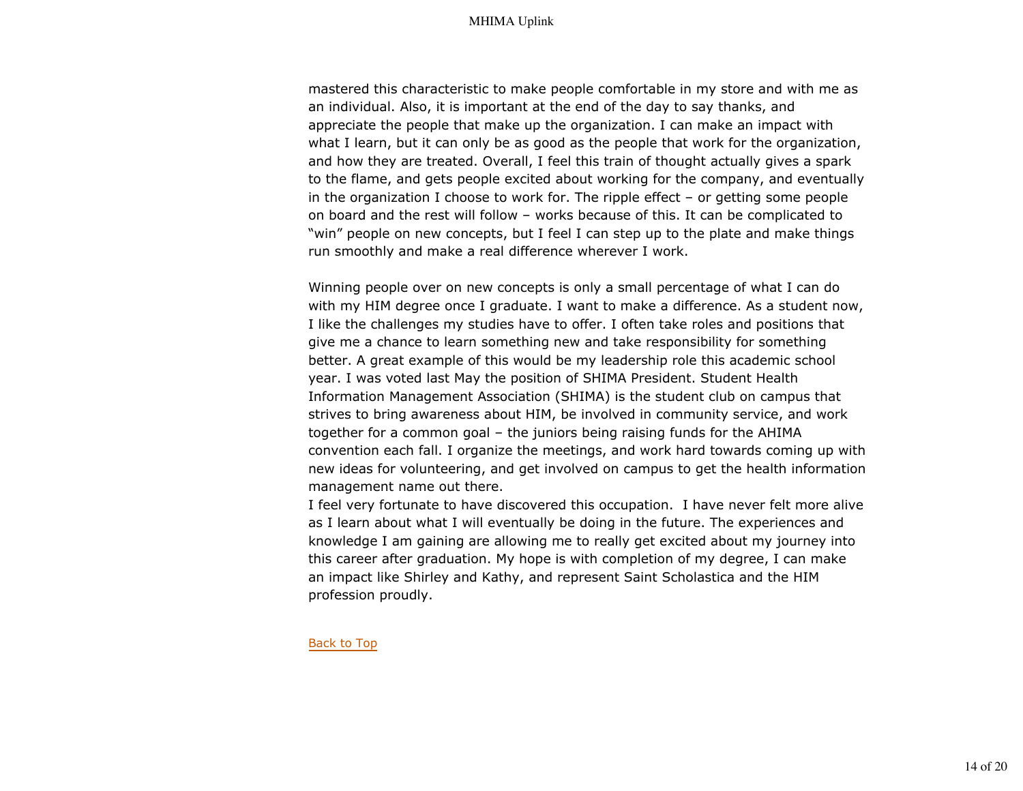mastered this characteristic to make people comfortable in my store and with me as an individual. Also, it is important at the end of the day to say thanks, and appreciate the people that make up the organization. I can make an impact with what I learn, but it can only be as good as the people that work for the organization, and how they are treated. Overall, I feel this train of thought actually gives a spark to the flame, and gets people excited about working for the company, and eventually in the organization I choose to work for. The ripple effect – or getting some people on board and the rest will follow – works because of this. It can be complicated to "win" people on new concepts, but I feel I can step up to the plate and make things run smoothly and make a real difference wherever I work.

Winning people over on new concepts is only a small percentage of what I can do with my HIM degree once I graduate. I want to make a difference. As a student now, I like the challenges my studies have to offer. I often take roles and positions that give me a chance to learn something new and take responsibility for something better. A great example of this would be my leadership role this academic school year. I was voted last May the position of SHIMA President. Student Health Information Management Association (SHIMA) is the student club on campus that strives to bring awareness about HIM, be involved in community service, and work together for a common goal – the juniors being raising funds for the AHIMA convention each fall. I organize the meetings, and work hard towards coming up with new ideas for volunteering, and get involved on campus to get the health information management name out there.

I feel very fortunate to have discovered this occupation. I have never felt more alive as I learn about what I will eventually be doing in the future. The experiences and knowledge I am gaining are allowing me to really get excited about my journey into this career after graduation. My hope is with completion of my degree, I can make an impact like Shirley and Kathy, and represent Saint Scholastica and the HIM profession proudly.

#### Back to Top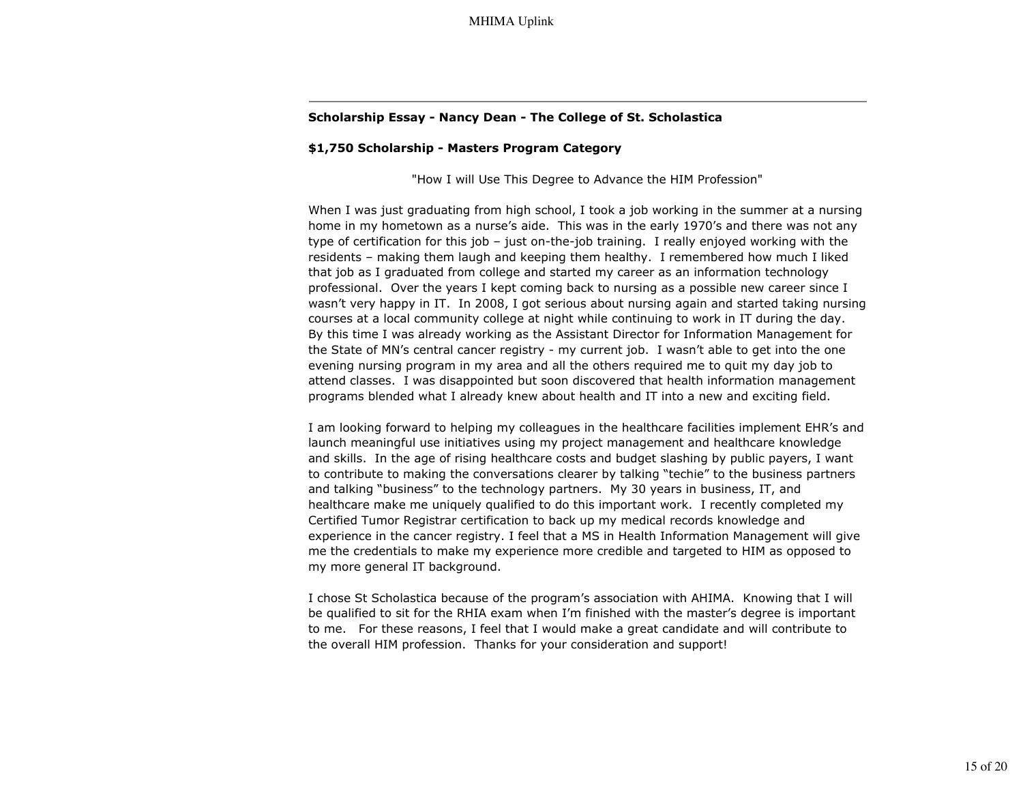### **Scholarship Essay - Nancy Dean - The College of St. Scholastica**

#### **\$1,750 Scholarship - Masters Program Category**

"How I will Use This Degree to Advance the HIM Profession"

When I was just graduating from high school, I took a job working in the summer at a nursing home in my hometown as a nurse's aide. This was in the early 1970's and there was not any type of certification for this job – just on-the-job training. I really enjoyed working with the residents – making them laugh and keeping them healthy. I remembered how much I liked that job as I graduated from college and started my career as an information technology professional. Over the years I kept coming back to nursing as a possible new career since I wasn't very happy in IT. In 2008, I got serious about nursing again and started taking nursing courses at a local community college at night while continuing to work in IT during the day. By this time I was already working as the Assistant Director for Information Management for the State of MN's central cancer registry - my current job. I wasn't able to get into the one evening nursing program in my area and all the others required me to quit my day job to attend classes. I was disappointed but soon discovered that health information management programs blended what I already knew about health and IT into a new and exciting field.

I am looking forward to helping my colleagues in the healthcare facilities implement EHR's and launch meaningful use initiatives using my project management and healthcare knowledge and skills. In the age of rising healthcare costs and budget slashing by public payers, I want to contribute to making the conversations clearer by talking "techie" to the business partners and talking "business" to the technology partners. My 30 years in business, IT, and healthcare make me uniquely qualified to do this important work. I recently completed my Certified Tumor Registrar certification to back up my medical records knowledge and experience in the cancer registry. I feel that a MS in Health Information Management will give me the credentials to make my experience more credible and targeted to HIM as opposed to my more general IT background.

I chose St Scholastica because of the program's association with AHIMA. Knowing that I will be qualified to sit for the RHIA exam when I'm finished with the master's degree is important to me. For these reasons, I feel that I would make a great candidate and will contribute to the overall HIM profession. Thanks for your consideration and support!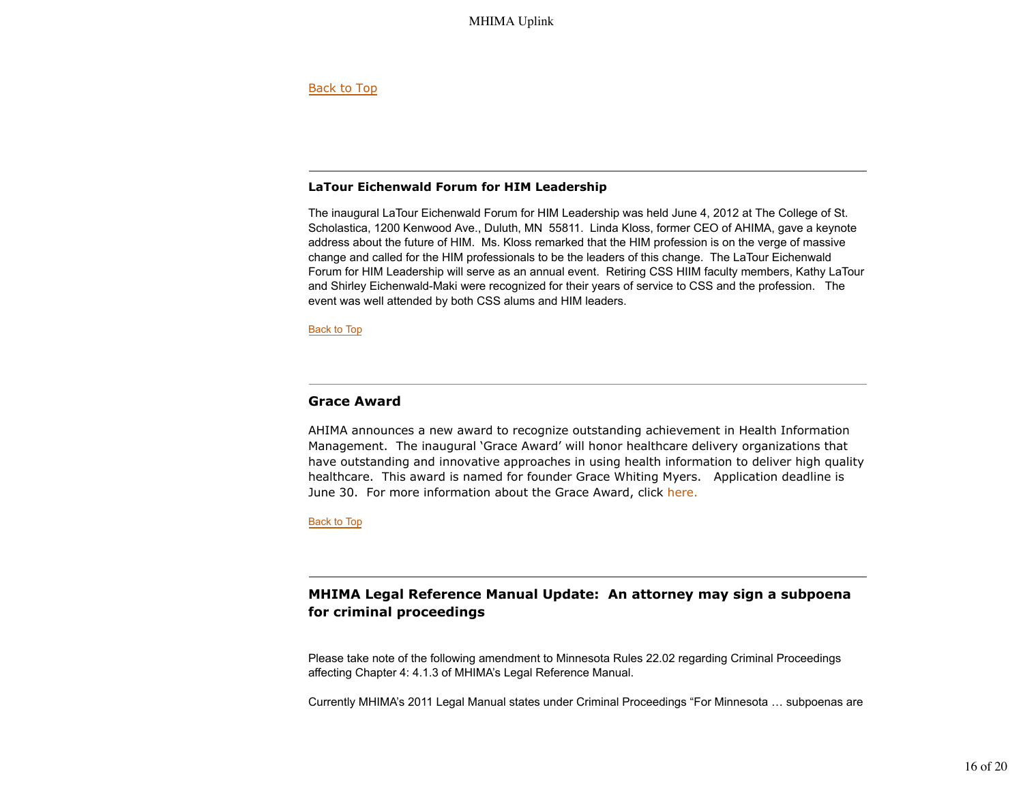Back to Top

## **LaTour Eichenwald Forum for HIM Leadership**

The inaugural LaTour Eichenwald Forum for HIM Leadership was held June 4, 2012 at The College of St. Scholastica, 1200 Kenwood Ave., Duluth, MN 55811. Linda Kloss, former CEO of AHIMA, gave a keynote address about the future of HIM. Ms. Kloss remarked that the HIM profession is on the verge of massive change and called for the HIM professionals to be the leaders of this change. The LaTour Eichenwald Forum for HIM Leadership will serve as an annual event. Retiring CSS HIIM faculty members, Kathy LaTour and Shirley Eichenwald-Maki were recognized for their years of service to CSS and the profession. The event was well attended by both CSS alums and HIM leaders.

**Back to Top** 

## **Grace Award**

AHIMA announces a new award to recognize outstanding achievement in Health Information Management. The inaugural 'Grace Award' will honor healthcare delivery organizations that have outstanding and innovative approaches in using health information to deliver high quality healthcare. This award is named for founder Grace Whiting Myers. Application deadline is June 30. For more information about the Grace Award, click here.

Back to Top

# **MHIMA Legal Reference Manual Update: An attorney may sign a subpoena for criminal proceedings**

Please take note of the following amendment to Minnesota Rules 22.02 regarding Criminal Proceedings affecting Chapter 4: 4.1.3 of MHIMA's Legal Reference Manual.

Currently MHIMA's 2011 Legal Manual states under Criminal Proceedings "For Minnesota … subpoenas are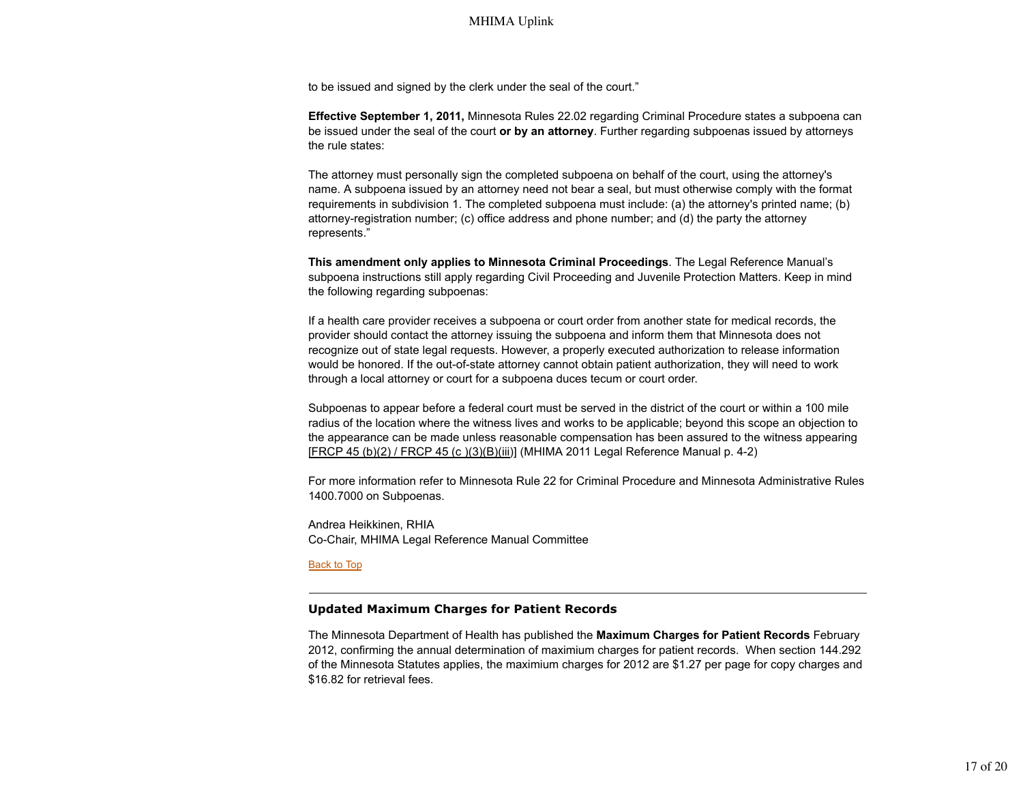to be issued and signed by the clerk under the seal of the court."

**Effective September 1, 2011,** Minnesota Rules 22.02 regarding Criminal Procedure states a subpoena can be issued under the seal of the court **or by an attorney**. Further regarding subpoenas issued by attorneys the rule states:

The attorney must personally sign the completed subpoena on behalf of the court, using the attorney's name. A subpoena issued by an attorney need not bear a seal, but must otherwise comply with the format requirements in subdivision 1. The completed subpoena must include: (a) the attorney's printed name; (b) attorney-registration number; (c) office address and phone number; and (d) the party the attorney represents."

**This amendment only applies to Minnesota Criminal Proceedings**. The Legal Reference Manual's subpoena instructions still apply regarding Civil Proceeding and Juvenile Protection Matters. Keep in mind the following regarding subpoenas:

If a health care provider receives a subpoena or court order from another state for medical records, the provider should contact the attorney issuing the subpoena and inform them that Minnesota does not recognize out of state legal requests. However, a properly executed authorization to release information would be honored. If the out-of-state attorney cannot obtain patient authorization, they will need to work through a local attorney or court for a subpoena duces tecum or court order.

Subpoenas to appear before a federal court must be served in the district of the court or within a 100 mile radius of the location where the witness lives and works to be applicable; beyond this scope an objection to the appearance can be made unless reasonable compensation has been assured to the witness appearing [FRCP 45 (b)(2) / FRCP 45 (c )(3)(B)(iii)] (MHIMA 2011 Legal Reference Manual p. 4-2)

For more information refer to Minnesota Rule 22 for Criminal Procedure and Minnesota Administrative Rules 1400.7000 on Subpoenas.

Andrea Heikkinen, RHIA Co-Chair, MHIMA Legal Reference Manual Committee

#### Back to Top

#### **Updated Maximum Charges for Patient Records**

The Minnesota Department of Health has published the **Maximum Charges for Patient Records** February 2012, confirming the annual determination of maximium charges for patient records. When section 144.292 of the Minnesota Statutes applies, the maximium charges for 2012 are \$1.27 per page for copy charges and \$16.82 for retrieval fees.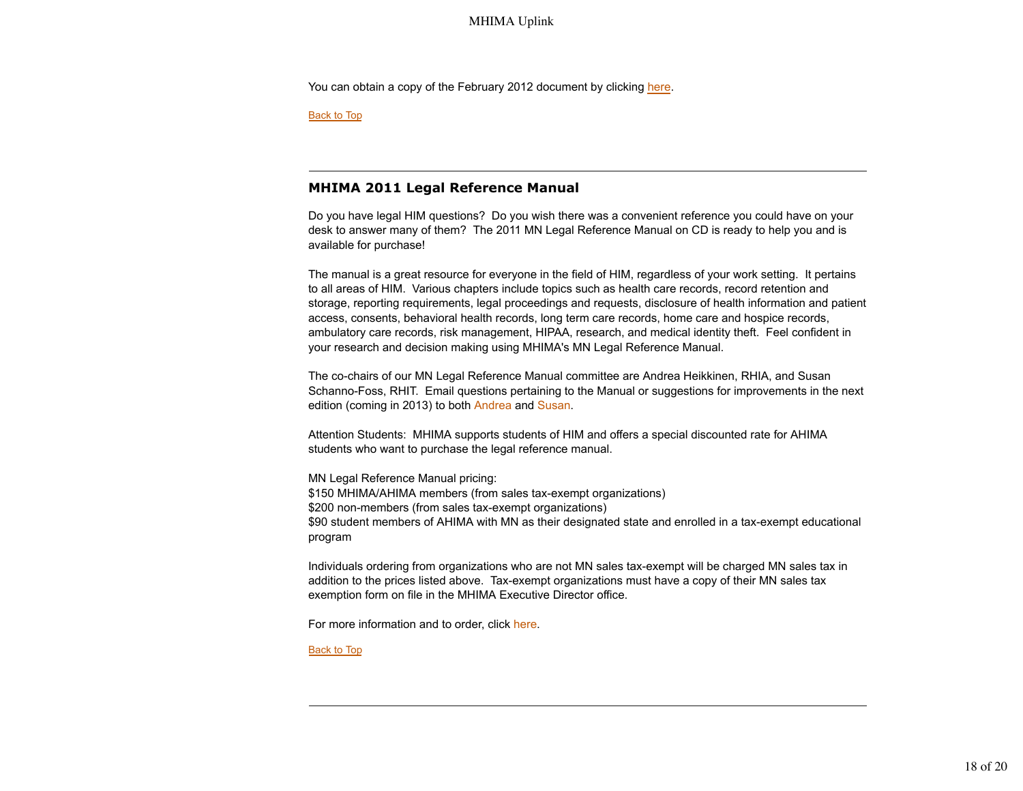You can obtain a copy of the February 2012 document by clicking here.

Back to Top

## **MHIMA 2011 Legal Reference Manual**

Do you have legal HIM questions? Do you wish there was a convenient reference you could have on your desk to answer many of them? The 2011 MN Legal Reference Manual on CD is ready to help you and is available for purchase!

The manual is a great resource for everyone in the field of HIM, regardless of your work setting. It pertains to all areas of HIM. Various chapters include topics such as health care records, record retention and storage, reporting requirements, legal proceedings and requests, disclosure of health information and patient access, consents, behavioral health records, long term care records, home care and hospice records, ambulatory care records, risk management, HIPAA, research, and medical identity theft. Feel confident in your research and decision making using MHIMA's MN Legal Reference Manual.

The co-chairs of our MN Legal Reference Manual committee are Andrea Heikkinen, RHIA, and Susan Schanno-Foss, RHIT. Email questions pertaining to the Manual or suggestions for improvements in the next edition (coming in 2013) to both Andrea and Susan.

Attention Students: MHIMA supports students of HIM and offers a special discounted rate for AHIMA students who want to purchase the legal reference manual.

MN Legal Reference Manual pricing: \$150 MHIMA/AHIMA members (from sales tax-exempt organizations) \$200 non-members (from sales tax-exempt organizations) \$90 student members of AHIMA with MN as their designated state and enrolled in a tax-exempt educational program

Individuals ordering from organizations who are not MN sales tax-exempt will be charged MN sales tax in addition to the prices listed above. Tax-exempt organizations must have a copy of their MN sales tax exemption form on file in the MHIMA Executive Director office.

For more information and to order, click here.

Back to Top